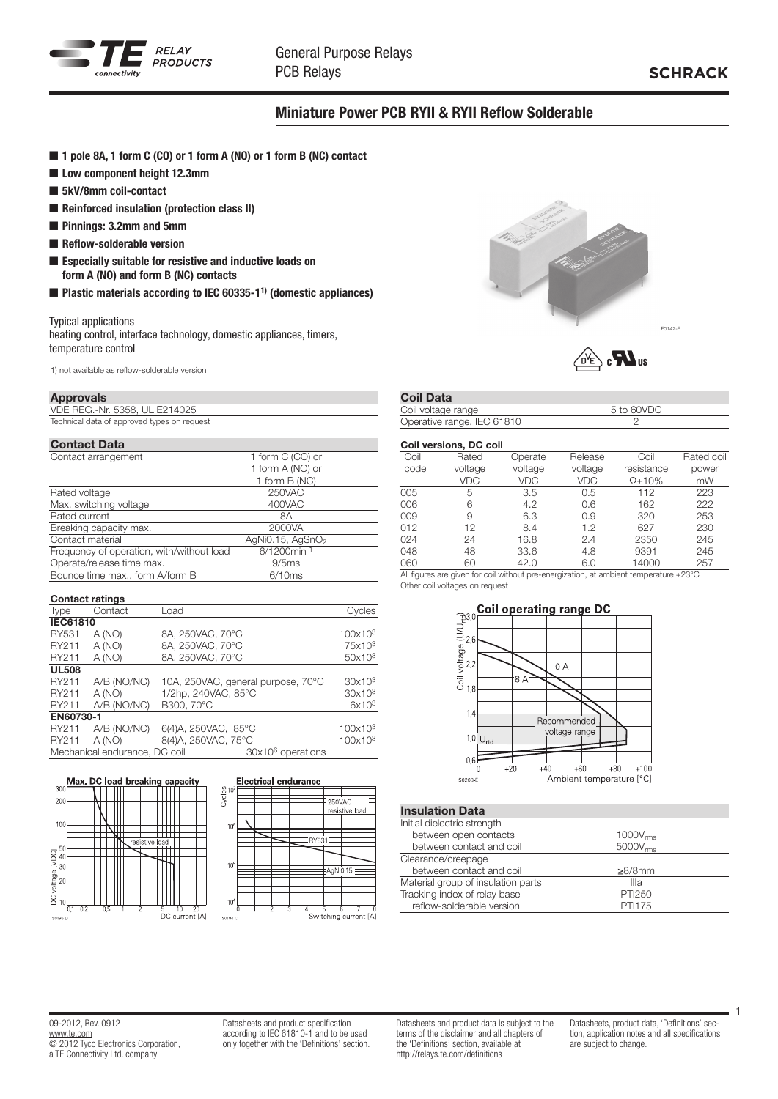

## Miniature Power PCB RYII & RYII Reflow Solderable

- 1 pole 8A, 1 form C (CO) or 1 form A (NO) or 1 form B (NC) contact
- Low component height 12.3mm
- 5kV/8mm coil-contact
- Reinforced insulation (protection class II)
- **n** Pinnings: 3.2mm and 5mm
- $\blacksquare$  Reflow-solderable version
- $\blacksquare$  Especially suitable for resistive and inductive loads on form A (NO) and form B (NC) contacts
- $\blacksquare$  Plastic materials according to IEC 60335-1<sup>1)</sup> (domestic appliances)

#### Typical applications

heating control, interface technology, domestic appliances, timers, temperature control

1) not available as reflow-solderable version

#### Approvals

VDE REG.-Nr. 5358, UL E214025 Technical data of approved types on request

| <b>Contact Data</b>                       |                              |
|-------------------------------------------|------------------------------|
| Contact arrangement                       | 1 form C (CO) or             |
|                                           | 1 form A (NO) or             |
|                                           | 1 form B (NC)                |
| Rated voltage                             | 250VAC                       |
| Max. switching voltage                    | 400VAC                       |
| Rated current                             | 8Α                           |
| Breaking capacity max.                    | 2000VA                       |
| Contact material                          | AgNi0.15, AgSnO <sub>2</sub> |
| Frequency of operation, with/without load | 6/1200min-1                  |
| Operate/release time max.                 | 9/5ms                        |
| Bounce time max., form A/form B           | 6/10ms                       |

|                 | <b>Contact ratings</b>        |                                    |                     |
|-----------------|-------------------------------|------------------------------------|---------------------|
| <b>Type</b>     | Contact                       | Load                               | Cvcles              |
| <b>IEC61810</b> |                               |                                    |                     |
| RY531           | A (NO)                        | 8A, 250VAC, 70°C                   | 100x10 <sup>3</sup> |
| RY211           | A (NO)                        | 8A, 250VAC, 70°C                   | 75x10 <sup>3</sup>  |
| RY211           | A (NO)                        | 8A, 250VAC, 70°C                   | 50x10 <sup>3</sup>  |
| <b>UL508</b>    |                               |                                    |                     |
| RY211           | A/B (NO/NC)                   | 10A, 250VAC, general purpose, 70°C | 30x10 <sup>3</sup>  |
| RY211           | A (NO)                        | 1/2hp, 240VAC, 85°C                | 30x10 <sup>3</sup>  |
| RY211           | A/B (NO/NC)                   | B300, 70°C                         | $6x10^3$            |
| EN60730-1       |                               |                                    |                     |
| RY211           | A/B (NO/NC)                   | 6(4)A, 250VAC, 85°C                | 100x10 <sup>3</sup> |
| RY211           | A (NO)                        | 8(4)A, 250VAC, 75°C                | 100x10 <sup>3</sup> |
|                 | Mechanical endurance, DC coil | 30x10 <sup>6</sup> operations      |                     |







 $Q = 1$  Data

| Goll Dala                  |            |  |
|----------------------------|------------|--|
| Coil voltage range         | 5 to 60VDC |  |
| Operative range, IEC 61810 |            |  |

|      | Coil versions, DC coil |            |         |                |            |
|------|------------------------|------------|---------|----------------|------------|
| Coil | Rated                  | Operate    | Release | Coil           | Rated coil |
| code | voltage                | voltage    | voltage | resistance     | power      |
|      | <b>VDC</b>             | <b>VDC</b> | VDC     | $\Omega$ + 10% | mW         |
| 005  | 5                      | 3.5        | 0.5     | 112            | 223        |
| 006  | 6                      | 4.2        | 0.6     | 162            | 222        |
| 009  | 9                      | 6.3        | 0.9     | 320            | 253        |
| 012  | 12                     | 8.4        | 1.2     | 627            | 230        |
| 024  | 24                     | 16.8       | 2.4     | 2350           | 245        |
| 048  | 48                     | 33.6       | 4.8     | 9391           | 245        |
| 060  | 60                     | 42.0       | 6.0     | 14000          | 257        |

All figures are given for coil without pre-energization, at ambient temperature +23°C Other coil voltages on request



### Insulation Data

| Initial dielectric strength        |               |  |
|------------------------------------|---------------|--|
| between open contacts              | $1000V_{rms}$ |  |
| between contact and coil           | $5000V_{rms}$ |  |
| Clearance/creepage                 |               |  |
| between contact and coil           | $\geq 8/8$ mm |  |
| Material group of insulation parts | Illa          |  |
| Tracking index of relay base       | PTI250        |  |
| reflow-solderable version          | PTI175        |  |
|                                    |               |  |

09-2012, Rev. 0912 www.te.com **COLOGO ELECTRONICS** Corporation, a TE Connectivity Ltd. company

Datasheets and product specification according to IEC 61810-1 and to be used only together with the 'Definitions' section. Datasheets and product data is subject to the terms of the disclaimer and all chapters of the 'Definitions' section, available at http://relays.te.com/definitions

Datasheets, product data, 'Definitions' section, application notes and all specifications are subject to change.

1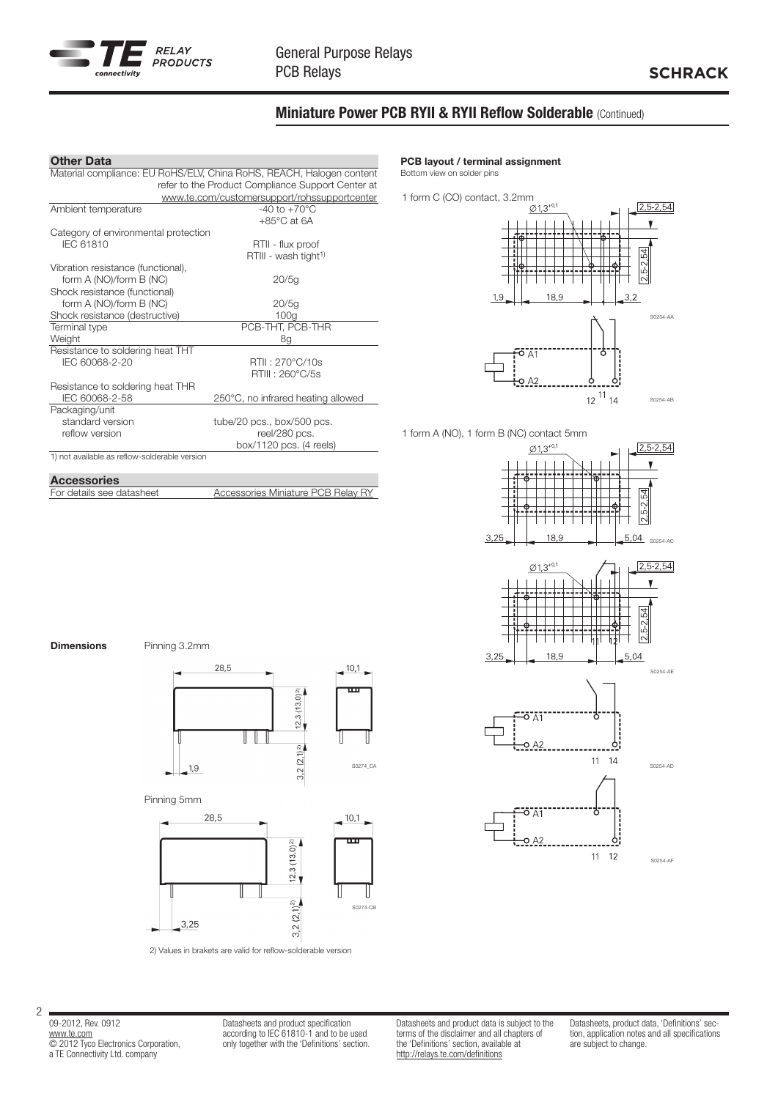

## Miniature Power PCB RYII & RYII Reflow Solderable (Continued)

#### Other Data

|                                               | Material compliance: EU RoHS/ELV, China RoHS, REACH, Halogen content |
|-----------------------------------------------|----------------------------------------------------------------------|
|                                               | refer to the Product Compliance Support Center at                    |
|                                               | www.te.com/customersupport/rohssupportcenter                         |
| Ambient temperature                           | $-40$ to $+70^{\circ}$ C                                             |
|                                               | $+85^{\circ}$ C at 6A                                                |
| Category of environmental protection          |                                                                      |
| <b>IEC 61810</b>                              | RTII - flux proof                                                    |
|                                               | RTIII - wash tight <sup>1)</sup>                                     |
| Vibration resistance (functional),            |                                                                      |
| form A (NO)/form B (NC)                       | 20/5q                                                                |
| Shock resistance (functional)                 |                                                                      |
| form A (NO)/form B (NC)                       | 20/5g                                                                |
| Shock resistance (destructive)                | 100q                                                                 |
| Terminal type                                 | PCB-THT, PCB-THR                                                     |
| Weight                                        | 8g                                                                   |
| Resistance to soldering heat THT              |                                                                      |
| IEC 60068-2-20                                | RTII: 270°C/10s                                                      |
|                                               | RTIII: 260°C/5s                                                      |
| Resistance to soldering heat THR              |                                                                      |
| IEC 60068-2-58                                | 250°C, no infrared heating allowed                                   |
| Packaging/unit                                |                                                                      |
| standard version                              | tube/20 pcs., box/500 pcs.                                           |
| reflow version                                | reel/280 pcs.                                                        |
|                                               | box/1120 pcs. (4 reels)                                              |
| 1) not available as reflow-solderable version |                                                                      |
|                                               |                                                                      |
| <b>Accessories</b>                            |                                                                      |
| For details see datasheet                     | <b>Accessories Miniature PCB Relay RY</b>                            |

#### PCB layout / terminal assignment

Bottom view on solder pins



1 form A (NO), 1 form B (NC) contact 5mm







**Dimensions** Pinning 3.2mm



I

 $3,2(2,1)2$ 



 $10,1$ 

Pinning 5mm

 $-1,9$ 



2) Values in brakets are valid for reflow-solderable version

09-2012, Rev. 0912 www.te.com © 2012 Tyco Electronics Corporation, a TE Connectivity Ltd. company

2

Datasheets and product specification according to IEC 61810-1 and to be used only together with the 'Definitions' section. Datasheets and product data is subject to the terms of the disclaimer and all chapters of the 'Definitions' section, available at http://relays.te.com/definitions

г

Datasheets, product data, 'Definitions' section, application notes and all specifications are subject to change.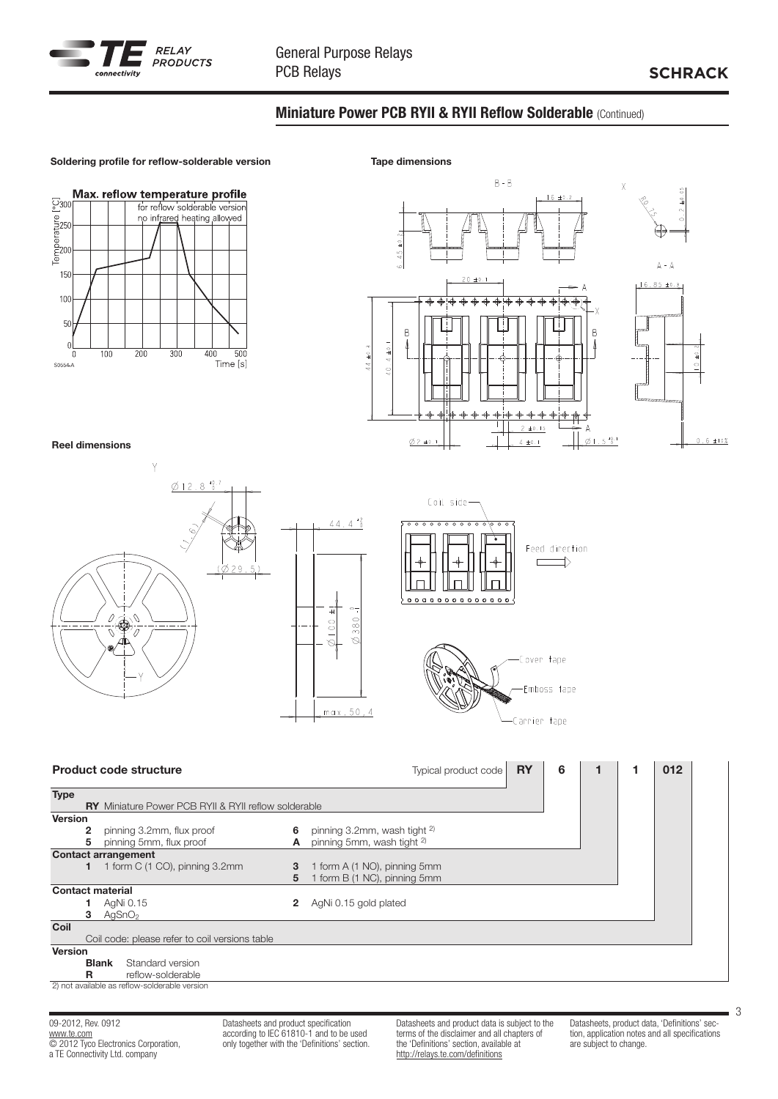

## Miniature Power PCB RYII & RYII Reflow Solderable (Continued)



09-2012, Rev. 0912 www.te.com © 2012 Tyco Electronics Corporation, a TE Connectivity Ltd. company

Datasheets and product specification according to IEC 61810-1 and to be used only together with the 'Definitions' section. Datasheets and product data is subject to the terms of the disclaimer and all chapters of the 'Definitions' section, available at http://relays.te.com/definitions

Datasheets, product data, 'Definitions' section, application notes and all specifications are subject to change.